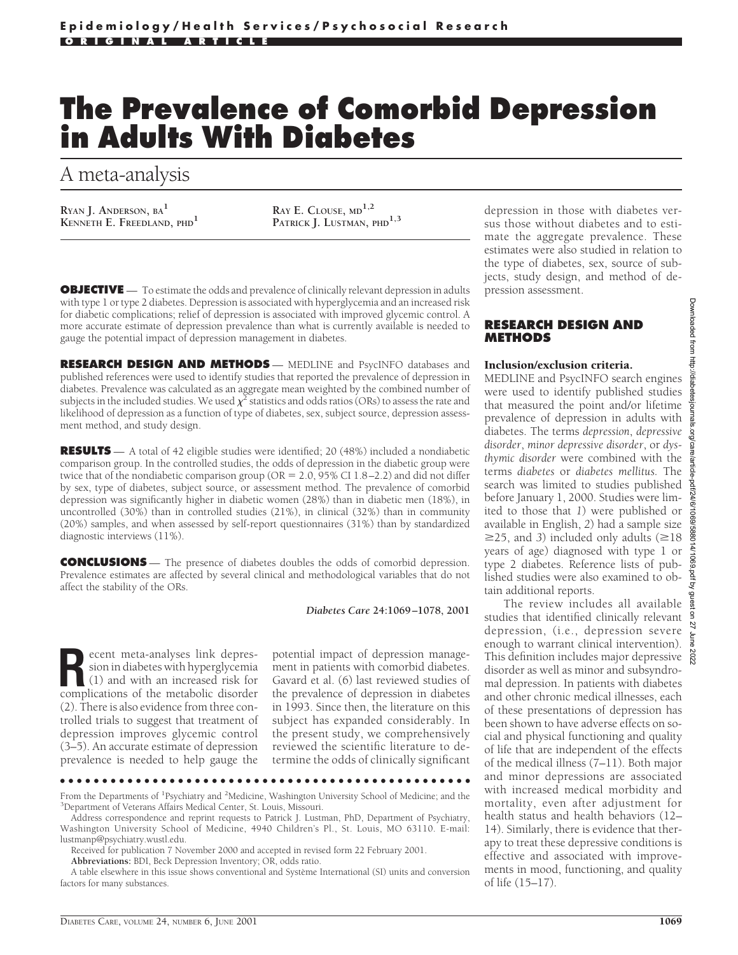# **The Prevalence of Comorbid Depression in Adults With Diabetes**

A meta-analysis

**RYAN J. ANDERSON, BA<sup>1</sup> KENNETH E. FREEDLAND, PHD<sup>1</sup> <b>RAY E. CLOUSE, MD<sup>1,2</sup> RAY E.** CLOUSE, MD<sup>1,2</sup> **PATRICK J.** LUSTMAN, 1

PATRICK J. LUSTMAN, PHD<sup>1,3</sup>

**OBJECTIVE** — To estimate the odds and prevalence of clinically relevant depression in adults with type 1 or type 2 diabetes. Depression is associated with hyperglycemia and an increased risk for diabetic complications; relief of depression is associated with improved glycemic control. A more accurate estimate of depression prevalence than what is currently available is needed to gauge the potential impact of depression management in diabetes.

**RESEARCH DESIGN AND METHODS** — MEDLINE and PsycINFO databases and published references were used to identify studies that reported the prevalence of depression in diabetes. Prevalence was calculated as an aggregate mean weighted by the combined number of subjects in the included studies. We used  $\chi^2$  statistics and odds ratios (ORs) to assess the rate and likelihood of depression as a function of type of diabetes, sex, subject source, depression assessment method, and study design.

**RESULTS** — A total of 42 eligible studies were identified; 20 (48%) included a nondiabetic comparison group. In the controlled studies, the odds of depression in the diabetic group were twice that of the nondiabetic comparison group ( $OR = 2.0$ , 95% CI 1.8–2.2) and did not differ by sex, type of diabetes, subject source, or assessment method. The prevalence of comorbid depression was significantly higher in diabetic women (28%) than in diabetic men (18%), in uncontrolled (30%) than in controlled studies (21%), in clinical (32%) than in community (20%) samples, and when assessed by self-report questionnaires (31%) than by standardized diagnostic interviews (11%).

**CONCLUSIONS** — The presence of diabetes doubles the odds of comorbid depression. Prevalence estimates are affected by several clinical and methodological variables that do not affect the stability of the ORs.

*Diabetes Care* **24:1069–1078, 2001**

**Recent meta-analyses link depres-**<br>
(1) and with an increased risk for<br>
complications of the metabolic disorder sion in diabetes with hyperglycemia complications of the metabolic disorder (2). There is also evidence from three controlled trials to suggest that treatment of depression improves glycemic control (3–5). An accurate estimate of depression prevalence is needed to help gauge the

potential impact of depression management in patients with comorbid diabetes. Gavard et al. (6) last reviewed studies of the prevalence of depression in diabetes in 1993. Since then, the literature on this subject has expanded considerably. In the present study, we comprehensively reviewed the scientific literature to determine the odds of clinically significant

●●●●●●●●●●●●●●●●●●●●●●●●●●●●●●●●●●●●●●●●●●●●●●●●●

depression in those with diabetes versus those without diabetes and to estimate the aggregate prevalence. These estimates were also studied in relation to the type of diabetes, sex, source of subjects, study design, and method of depression assessment.

## **RESEARCH DESIGN AND METHODS**

#### Inclusion/exclusion criteria.

MEDLINE and PsycINFO search engines were used to identify published studies that measured the point and/or lifetime prevalence of depression in adults with diabetes. The terms *depression*, *depressive disorder*, *minor depressive disorder*, or *dysthymic disorder* were combined with the terms *diabetes* or *diabetes mellitus.* The search was limited to studies published before January 1, 2000. Studies were limited to those that *1*) were published or available in English, *2*) had a sample size  $\geq$ 25, and 3) included only adults ( $\geq$ 18 years of age) diagnosed with type 1 or type 2 diabetes. Reference lists of published studies were also examined to obtain additional reports.

The review includes all available studies that identified clinically relevant depression, (i.e., depression severe enough to warrant clinical intervention). This definition includes major depressive disorder as well as minor and subsyndromal depression. In patients with diabetes and other chronic medical illnesses, each of these presentations of depression has been shown to have adverse effects on social and physical functioning and quality of life that are independent of the effects of the medical illness (7–11). Both major and minor depressions are associated with increased medical morbidity and mortality, even after adjustment for health status and health behaviors (12– 14). Similarly, there is evidence that therapy to treat these depressive conditions is effective and associated with improvements in mood, functioning, and quality of life (15–17).

From the Departments of <sup>1</sup>Psychiatry and <sup>2</sup>Medicine, Washington University School of Medicine; and the <sup>3</sup>Department of Veterans Affairs Medical Center, St. Louis, Missouri <sup>3</sup>Department of Veterans Affairs Medical Center, St. Louis, Missouri.

Address correspondence and reprint requests to Patrick J. Lustman, PhD, Department of Psychiatry, Washington University School of Medicine, 4940 Children's Pl., St. Louis, MO 63110. E-mail: lustmanp@psychiatry.wustl.edu.

Received for publication 7 November 2000 and accepted in revised form 22 February 2001.

**Abbreviations:** BDI, Beck Depression Inventory; OR, odds ratio.

A table elsewhere in this issue shows conventional and Système International (SI) units and conversion factors for many substances.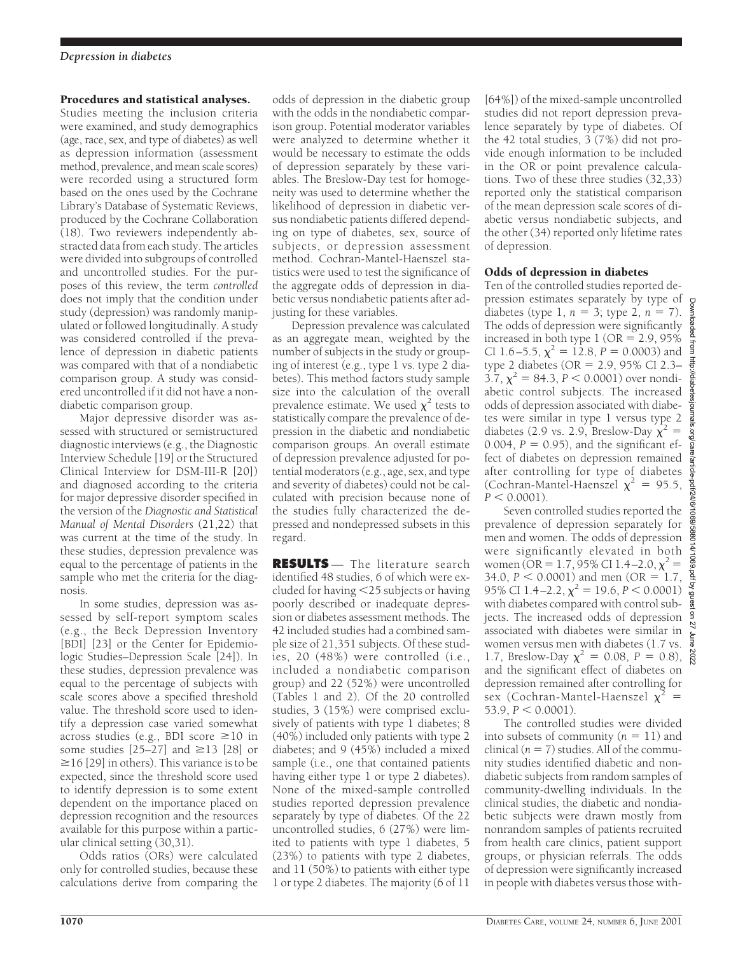## Procedures and statistical analyses.

Studies meeting the inclusion criteria were examined, and study demographics (age, race, sex, and type of diabetes) as well as depression information (assessment method, prevalence, and mean scale scores) were recorded using a structured form based on the ones used by the Cochrane Library's Database of Systematic Reviews, produced by the Cochrane Collaboration (18). Two reviewers independently abstracted data from each study. The articles were divided into subgroups of controlled and uncontrolled studies. For the purposes of this review, the term *controlled* does not imply that the condition under study (depression) was randomly manipulated or followed longitudinally. A study was considered controlled if the prevalence of depression in diabetic patients was compared with that of a nondiabetic comparison group. A study was considered uncontrolled if it did not have a nondiabetic comparison group.

Major depressive disorder was assessed with structured or semistructured diagnostic interviews (e.g., the Diagnostic Interview Schedule [19] or the Structured Clinical Interview for DSM-III-R [20]) and diagnosed according to the criteria for major depressive disorder specified in the version of the *Diagnostic and Statistical Manual of Mental Disorders* (21,22) that was current at the time of the study. In these studies, depression prevalence was equal to the percentage of patients in the sample who met the criteria for the diagnosis.

In some studies, depression was assessed by self-report symptom scales (e.g., the Beck Depression Inventory [BDI] [23] or the Center for Epidemiologic Studies–Depression Scale [24]). In these studies, depression prevalence was equal to the percentage of subjects with scale scores above a specified threshold value. The threshold score used to identify a depression case varied somewhat across studies (e.g., BDI score  $\geq 10$  in some studies  $[25-27]$  and  $\geq 13$   $[28]$  or  $\geq$ 16 [29] in others). This variance is to be expected, since the threshold score used to identify depression is to some extent dependent on the importance placed on depression recognition and the resources available for this purpose within a particular clinical setting (30,31).

Odds ratios (ORs) were calculated only for controlled studies, because these calculations derive from comparing the odds of depression in the diabetic group with the odds in the nondiabetic comparison group. Potential moderator variables were analyzed to determine whether it would be necessary to estimate the odds of depression separately by these variables. The Breslow-Day test for homogeneity was used to determine whether the likelihood of depression in diabetic versus nondiabetic patients differed depending on type of diabetes, sex, source of subjects, or depression assessment method. Cochran-Mantel-Haenszel statistics were used to test the significance of the aggregate odds of depression in diabetic versus nondiabetic patients after adjusting for these variables.

Depression prevalence was calculated as an aggregate mean, weighted by the number of subjects in the study or grouping of interest (e.g., type 1 vs. type 2 diabetes). This method factors study sample size into the calculation of the overall prevalence estimate. We used  $\chi^2$  tests to statistically compare the prevalence of depression in the diabetic and nondiabetic comparison groups. An overall estimate of depression prevalence adjusted for potential moderators (e.g., age, sex, and type and severity of diabetes) could not be calculated with precision because none of the studies fully characterized the depressed and nondepressed subsets in this regard.

**RESULTS** — The literature search identified 48 studies, 6 of which were excluded for having  $\leq$ 25 subjects or having poorly described or inadequate depression or diabetes assessment methods. The 42 included studies had a combined sample size of 21,351 subjects. Of these studies, 20 (48%) were controlled (i.e., included a nondiabetic comparison group) and 22 (52%) were uncontrolled (Tables 1 and 2). Of the 20 controlled studies, 3 (15%) were comprised exclusively of patients with type 1 diabetes; 8 (40%) included only patients with type 2 diabetes; and 9 (45%) included a mixed sample (i.e., one that contained patients having either type 1 or type 2 diabetes). None of the mixed-sample controlled studies reported depression prevalence separately by type of diabetes. Of the 22 uncontrolled studies, 6 (27%) were limited to patients with type 1 diabetes, 5 (23%) to patients with type 2 diabetes, and 11 (50%) to patients with either type 1 or type 2 diabetes. The majority (6 of 11

[64%]) of the mixed-sample uncontrolled studies did not report depression prevalence separately by type of diabetes. Of the 42 total studies, 3 (7%) did not provide enough information to be included in the OR or point prevalence calculations. Two of these three studies (32,33) reported only the statistical comparison of the mean depression scale scores of diabetic versus nondiabetic subjects, and the other (34) reported only lifetime rates of depression.

# Odds of depression in diabetes

Ten of the controlled studies reported depression estimates separately by type of diabetes (type 1,  $n = 3$ ; type 2,  $n = 7$ ). The odds of depression were significantly increased in both type  $1$  (OR = 2.9, 95%) CI 1.6–5.5,  $\chi^2 = 12.8$ ,  $P = 0.0003$ ) and type 2 diabetes (OR =  $2.9, 95\%$  CI 2.3–  $3.7, \chi^2 = 84.3, P < 0.0001$ ) over nondiabetic control subjects. The increased odds of depression associated with diabetes were similar in type 1 versus type 2 diabetes (2.9 vs. 2.9, Breslow-Day  $\chi^2$  = 0.004,  $P = 0.95$ ), and the significant effect of diabetes on depression remained after controlling for type of diabetes (Cochran-Mantel-Haenszel  $\chi^2 = 95.5$ ,  $P < 0.0001$ ).

Seven controlled studies reported the prevalence of depression separately for men and women. The odds of depression were significantly elevated in both women (OR = 1.7, 95% CI 1.4–2.0,  $\chi^2$  = 34.0,  $P < 0.0001$ ) and men (OR = 1.7, 95% CI 1.4–2.2,  $\chi^2 = 19.6$ ,  $P < 0.0001$ ) with diabetes compared with control subjects. The increased odds of depression associated with diabetes were similar in women versus men with diabetes (1.7 vs. 1.7, Breslow-Day  $\chi^2 = 0.08$ ,  $P = 0.8$ ),  $^{8}_{8}$ and the significant effect of diabetes on depression remained after controlling for sex (Cochran-Mantel-Haenszel  $\chi^2$  =  $53.9, P < 0.0001$ .

The controlled studies were divided into subsets of community  $(n = 11)$  and clinical  $(n = 7)$  studies. All of the community studies identified diabetic and nondiabetic subjects from random samples of community-dwelling individuals. In the clinical studies, the diabetic and nondiabetic subjects were drawn mostly from nonrandom samples of patients recruited from health care clinics, patient support groups, or physician referrals. The odds of depression were significantly increased in people with diabetes versus those with-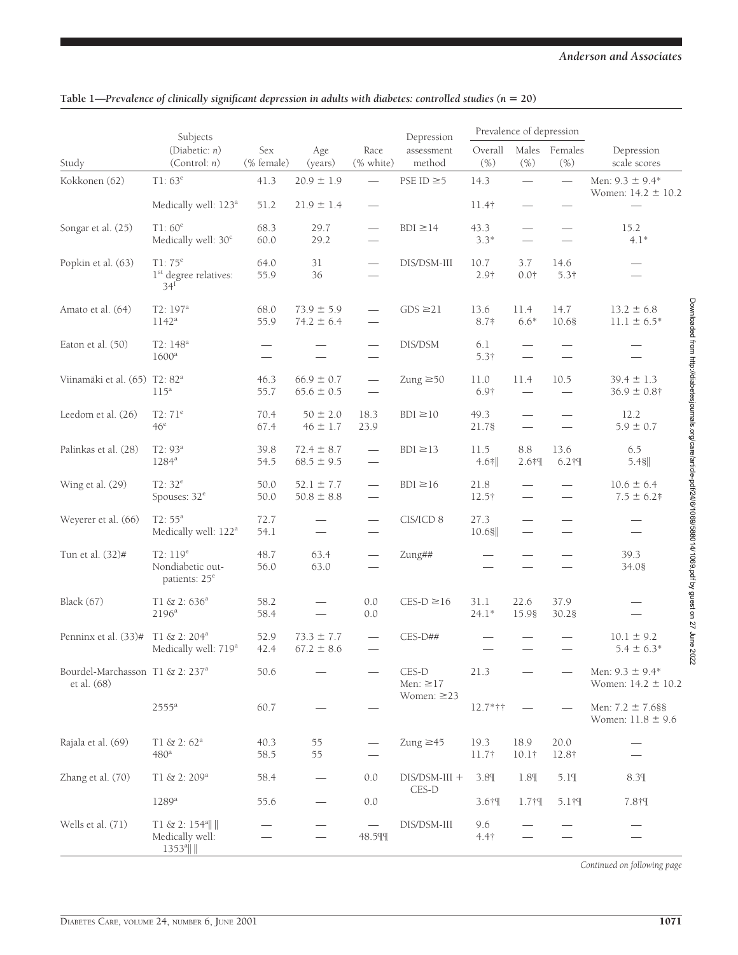|                                                            | Subjects                                                            |                                                      |                                  |                               | Depression              | Prevalence of depression |                          |                          |                                                                                                                                  |
|------------------------------------------------------------|---------------------------------------------------------------------|------------------------------------------------------|----------------------------------|-------------------------------|-------------------------|--------------------------|--------------------------|--------------------------|----------------------------------------------------------------------------------------------------------------------------------|
| Study                                                      | (Diabetic: $n$ )<br>(Control: n)                                    | Sex<br>(% female)                                    | Age<br>(years)                   | Race<br>(% white)             | assessment<br>method    | Overall<br>(% )          | (%)                      | Males Females<br>(%)     | Depression<br>scale scores                                                                                                       |
| Kokkonen (62)                                              | $T1:63^e$                                                           | 41.3                                                 | $20.9 \pm 1.9$                   | $\overline{\phantom{0}}$      | PSE ID $\geq$ 5         | 14.3                     |                          |                          | Men: $9.3 \pm 9.4*$<br>Women: $14.2 \pm 10.2$                                                                                    |
|                                                            | Medically well: 123 <sup>a</sup>                                    | 51.2                                                 | $21.9 \pm 1.4$                   |                               |                         | $11.4$ †                 |                          |                          |                                                                                                                                  |
| Songar et al. (25)                                         | T1:60 <sup>e</sup><br>Medically well: 30 <sup>c</sup>               | 68.3<br>60.0                                         | 29.7<br>29.2                     |                               | $BDI \ge 14$            | 43.3<br>$3.3*$           |                          | $\overline{\phantom{0}}$ | 15.2<br>$4.1*$                                                                                                                   |
| Popkin et al. (63)                                         | $T1:75^{e}$<br>1 <sup>st</sup> degree relatives:<br>34 <sup>f</sup> | 64.0<br>55.9                                         | 31<br>36                         |                               | DIS/DSM-III             | 10.7<br>2.9†             | 3.7<br>0.01              | 14.6<br>$5.3\dagger$     |                                                                                                                                  |
| Amato et al. (64)                                          | T2: 197 <sup>a</sup><br>1142 <sup>a</sup>                           | 68.0<br>55.9                                         | $73.9 \pm 5.9$<br>$74.2 \pm 6.4$ | $\overline{\phantom{0}}$      | $GDS \geq 21$           | 13.6<br>$8.7*$           | 11.4<br>$6.6*$           | 14.7<br>10.68            | $13.2 \pm 6.8$<br>$11.1 \pm 6.5*$                                                                                                |
| Eaton et al. (50)                                          | T2: 148 <sup>a</sup><br>$1600^a$                                    | $\overline{\phantom{0}}$<br>$\overline{\phantom{0}}$ |                                  |                               | DIS/DSM                 | 6.1<br>5.3†              |                          |                          |                                                                                                                                  |
| Viinamäki et al. (65) T2: 82 <sup>a</sup>                  | $115^a$                                                             | 46.3<br>55.7                                         | $66.9 \pm 0.7$<br>$65.6 \pm 0.5$ | $\overline{\phantom{m}}$      | Zung $\geq 50$          | 11.0<br>$6.9\dagger$     | 11.4                     | 10.5                     | $39.4 \pm 1.3$<br>$36.9 \pm 0.8$ †                                                                                               |
| Leedom et al. (26)                                         | $T2:71^e$<br>46 <sup>e</sup>                                        | 70.4<br>67.4                                         | $50 \pm 2.0$<br>$46 \pm 1.7$     | 18.3<br>23.9                  | $BDI \ge 10$            | 49.3<br>21.78            |                          |                          | 12.2<br>$5.9 \pm 0.7$                                                                                                            |
| Palinkas et al. (28)                                       | $T2:93^a$<br>$1284^a$                                               | 39.8<br>54.5                                         | $72.4 \pm 8.7$<br>$68.5 \pm 9.5$ |                               | $BDI \ge 13$            | 11.5<br>$4.6$ *          | 8.8<br>2.6#9             | 13.6<br>$6.2 + T$        | 6.5<br>$5.4$ §                                                                                                                   |
| Wing et al. (29)                                           | $T2:32^e$<br>Spouses: $32^e$                                        | 50.0<br>50.0                                         | $52.1 \pm 7.7$<br>$50.8 \pm 8.8$ |                               | $BDI \ge 16$            | 21.8<br>12.5†            |                          |                          | $10.6 \pm 6.4$<br>$7.5 \pm 6.2$                                                                                                  |
| Weyerer et al. (66)                                        | $T2:55^a$<br>Medically well: 122 <sup>a</sup>                       | 72.7<br>54.1                                         |                                  |                               | CIS/ICD 8               | 27.3<br>10.68            | $\overline{\phantom{0}}$ |                          |                                                                                                                                  |
| Tun et al. (32)#                                           | $T2:119^{e}$<br>Nondiabetic out-<br>patients: 25 <sup>e</sup>       | 48.7<br>56.0                                         | 63.4<br>63.0                     | $\overbrace{\phantom{12332}}$ | Zung##                  |                          |                          |                          | Downloaded from http://diabetesjournals.org/care/article-pdf/24/6/1069/588014/1069.pdf by guest on 27 June 2022<br>39.3<br>34.08 |
| Black (67)                                                 | $T1 & 2:636^a$<br>2196 <sup>a</sup>                                 | 58.2<br>58.4                                         |                                  | 0.0<br>0.0                    | $CES-D \ge 16$          | 31.1<br>$24.1*$          | 22.6<br>15.98            | 37.9<br>30.28            |                                                                                                                                  |
| Penninx et al. (33)#                                       | $T1 & 2: 204^a$<br>Medically well: 719 <sup>a</sup>                 | 52.9<br>42.4                                         | $73.3 \pm 7.7$<br>$67.2 \pm 8.6$ |                               | CES-D##                 |                          |                          |                          | $10.1 \pm 9.2$<br>$5.4 \pm 6.3*$                                                                                                 |
| Bourdel-Marchasson T1 & 2: 237 <sup>a</sup><br>et al. (68) |                                                                     | 50.6                                                 |                                  |                               | CES-D<br>Men: $\geq$ 17 | 21.3                     |                          |                          | Men: $9.3 \pm 9.4*$<br>Women: $14.2 \pm 10.2$                                                                                    |
|                                                            | $2555^{\rm a}$                                                      | 60.7                                                 |                                  |                               | Women: $\geq$ 23        | $12.7*+$                 |                          |                          | Men: $7.2 \pm 7.688$<br>Women: $11.8 \pm 9.6$                                                                                    |
| Rajala et al. (69)                                         | $T1 & 2:62^a$<br>480 <sup>a</sup>                                   | 40.3<br>58.5                                         | 55<br>55                         |                               | $Zung \geq 45$          | 19.3<br>$11.7\dagger$    | 18.9<br>$10.1\dagger$    | 20.0<br>12.8†            |                                                                                                                                  |
| Zhang et al. (70)                                          | T1 & 2: 209 <sup>a</sup>                                            | 58.4                                                 |                                  | 0.0                           | $DIS/DSM-III +$         | 3.8 <sup>T</sup>         | 1.8%                     | 5.19                     | 8.3%                                                                                                                             |
|                                                            | 1289 <sup>a</sup>                                                   | 55.6                                                 |                                  | 0.0                           | $CES-D$                 | 3.6†9                    | $1.7 + T$                | $5.1 + T$                | 7.8忖                                                                                                                             |
| Wells et al. (71)                                          | $T1 < 2: 154$ <sup>a</sup><br>Medically well:<br>$1353^{\circ}$     |                                                      |                                  | 48.5¶                         | DIS/DSM-III             | 9.6<br>$4.4$ †           |                          |                          |                                                                                                                                  |

### Table 1—*Prevalence of clinically significant depression in adults with diabetes: controlled studies (n = 20)*

*Continued on following page*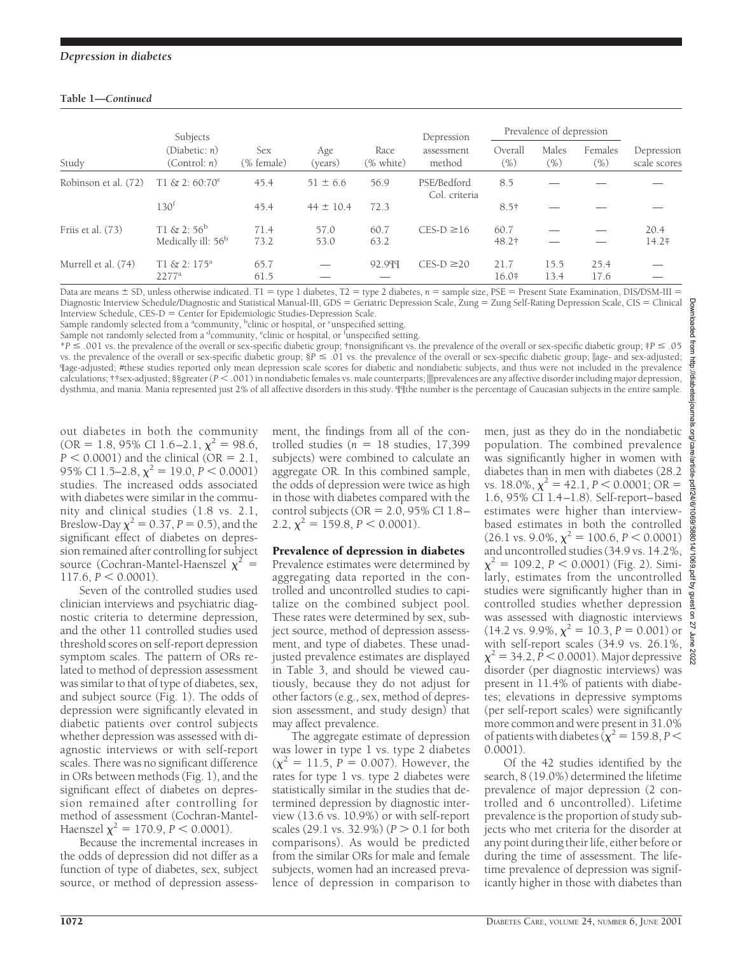## **Table 1—***Continued*

|                      | Subjects                                        |                          | Age<br>(years) | Race<br>(% white) | Depression<br>assessment<br>method | Prevalence of depression |                  |                    |                            |
|----------------------|-------------------------------------------------|--------------------------|----------------|-------------------|------------------------------------|--------------------------|------------------|--------------------|----------------------------|
| Study                | (Diabetic: n)<br>(Control: n)                   | <b>Sex</b><br>(% female) |                |                   |                                    | Overall<br>$(\% )$       | Males<br>$(\% )$ | Females<br>$(\% )$ | Depression<br>scale scores |
| Robinson et al. (72) | $T1 \& 2:60:70^e$                               | 45.4                     | $51 \pm 6.6$   | 56.9              | PSE/Bedford<br>Col. criteria       | 8.5                      |                  |                    |                            |
|                      | 130 <sup>t</sup>                                | 45.4                     | $44 \pm 10.4$  | 72.3              |                                    | $8.5\dagger$             |                  |                    |                            |
| Friis et al. (73)    | $T1 & 2:56^b$<br>Medically ill: 56 <sup>b</sup> | 71.4<br>73.2             | 57.0<br>53.0   | 60.7<br>63.2      | $CES-D \ge 16$                     | 60.7<br>48.2†            |                  |                    | 20.4<br>14.2‡              |
| Murrell et al. (74)  | $T1 & 2:175^a$<br>$2277^a$                      | 65.7<br>61.5             |                | 92.999            | $CES-D \geq 20$                    | 21.7<br>$16.0*$          | 15.5<br>13.4     | 25.4<br>17.6       |                            |

Data are means  $\pm$  SD, unless otherwise indicated. T1 = type 1 diabetes, T2 = type 2 diabetes,  $n =$  sample size, PSE = Present State Examination, DIS/DSM-III = Diagnostic Interview Schedule/Diagnostic and Statistical Manual-III, GDS = Geriatric Depression Scale, Zung = Zung Self-Rating Depression Scale, CIS = Clinical Interview Schedule, CES-D = Center for Epidemiologic Studies-Depression Scale.

Sample randomly selected from a <sup>a</sup>community, <sup>b</sup>clinic or hospital, or <sup>c</sup>unspecified setting.

Sample not randomly selected from a <sup>d</sup>community, <sup>e</sup>clinic or hospital, or <sup>f</sup>unspecified setting.

\**P* # .001 vs. the prevalence of the overall or sex-specific diabetic group; †nonsignificant vs. the prevalence of the overall or sex-specific diabetic group; ‡*P* # .05 vs. the prevalence of the overall or sex-specific diabetic group;  $\$P \leq .01$  vs. the prevalence of the overall or sex-specific diabetic group;  $\parallel$ age- and sex-adjusted; ¶age-adjusted; #these studies reported only mean depression scale scores for diabetic and nondiabetic subjects, and thus were not included in the prevalence calculations; ††sex-adjusted; §§greater (*P* < .001) in nondiabetic females vs. male counterparts; |||prevalences are any affective disorder including major depression, dysthmia, and mania. Mania represented just 2% of all affective disorders in this study. ¶¶the number is the percentage of Caucasian subjects in the entire sample.

out diabetes in both the community (OR = 1.8, 95% CI 1.6–2.1,  $\chi^2$  = 98.6,  $P < 0.0001$ ) and the clinical (OR = 2.1, 95% CI 1.5–2.8,  $\chi^2 = 19.0, P < 0.0001$ ) studies. The increased odds associated with diabetes were similar in the community and clinical studies (1.8 vs. 2.1, Breslow-Day  $\chi^2$  = 0.37, *P* = 0.5), and the significant effect of diabetes on depression remained after controlling for subject source (Cochran-Mantel-Haenszel  $\chi^2$  =  $117.6, P \le 0.0001$ .

Seven of the controlled studies used clinician interviews and psychiatric diagnostic criteria to determine depression, and the other 11 controlled studies used threshold scores on self-report depression symptom scales. The pattern of ORs related to method of depression assessment was similar to that of type of diabetes, sex, and subject source (Fig. 1). The odds of depression were significantly elevated in diabetic patients over control subjects whether depression was assessed with diagnostic interviews or with self-report scales. There was no significant difference in ORs between methods (Fig. 1), and the significant effect of diabetes on depression remained after controlling for method of assessment (Cochran-Mantel-Haenszel  $\chi^2$  = 170.9, *P* < 0.0001).

Because the incremental increases in the odds of depression did not differ as a function of type of diabetes, sex, subject source, or method of depression assessment, the findings from all of the controlled studies ( $n = 18$  studies, 17,399 subjects) were combined to calculate an aggregate OR. In this combined sample, the odds of depression were twice as high in those with diabetes compared with the control subjects ( $OR = 2.0$ , 95% CI 1.8– 2.2,  $\chi^2 = 159.8$ ,  $P < 0.0001$ ).

## Prevalence of depression in diabetes

Prevalence estimates were determined by aggregating data reported in the controlled and uncontrolled studies to capitalize on the combined subject pool. These rates were determined by sex, subject source, method of depression assessment, and type of diabetes. These unadjusted prevalence estimates are displayed in Table 3, and should be viewed cautiously, because they do not adjust for other factors (e.g., sex, method of depression assessment, and study design) that may affect prevalence.

The aggregate estimate of depression was lower in type 1 vs. type 2 diabetes  $(\chi^2 = 11.5, P = 0.007)$ . However, the rates for type 1 vs. type 2 diabetes were statistically similar in the studies that determined depression by diagnostic interview (13.6 vs. 10.9%) or with self-report scales  $(29.1 \text{ vs. } 32.9\%)$   $(P > 0.1$  for both comparisons). As would be predicted from the similar ORs for male and female subjects, women had an increased prevalence of depression in comparison to

men, just as they do in the nondiabetic population. The combined prevalence was significantly higher in women with diabetes than in men with diabetes (28.2 vs. 18.0%,  $\chi^2 = 42.1$ ,  $P < 0.0001$ ; OR = 1.6, 95% CI 1.4–1.8). Self-report–based estimates were higher than interviewbased estimates in both the controlled  $(26.1 \text{ vs. } 9.0\%, \chi^2 = 100.6, P < 0.0001)$ and uncontrolled studies (34.9 vs. 14.2%,  $\chi^2 = 109.2$ ,  $P < 0.0001$ ) (Fig. 2). Similarly, estimates from the uncontrolled studies were significantly higher than in controlled studies whether depression was assessed with diagnostic interviews  $(14.2 \text{ vs. } 9.9\%, \chi^2 = 10.3, P = 0.001) \text{ or }$ with self-report scales (34.9 vs. 26.1%,  $\chi^2$  = 34.2, *P* < 0.0001). Major depressive disorder (per diagnostic interviews) was present in 11.4% of patients with diabetes; elevations in depressive symptoms (per self-report scales) were significantly more common and were present in 31.0% of patients with diabetes ( $\chi^2$  = 159.8, *P* < 0.0001).

Of the 42 studies identified by the search, 8 (19.0%) determined the lifetime prevalence of major depression (2 controlled and 6 uncontrolled). Lifetime prevalence is the proportion of study subjects who met criteria for the disorder at any point during their life, either before or during the time of assessment. The lifetime prevalence of depression was significantly higher in those with diabetes than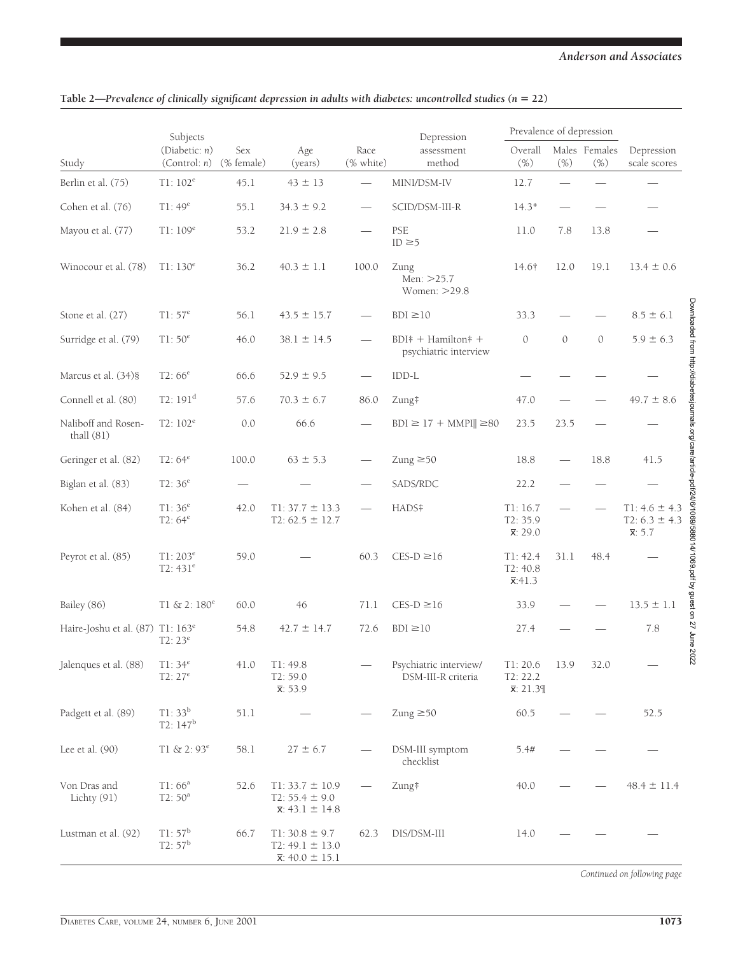|                                              | Subjects                            |                                 |                                                                          |                                 | Depression                                    | Prevalence of depression                  |               |                      |                                                                                                                                                                         |
|----------------------------------------------|-------------------------------------|---------------------------------|--------------------------------------------------------------------------|---------------------------------|-----------------------------------------------|-------------------------------------------|---------------|----------------------|-------------------------------------------------------------------------------------------------------------------------------------------------------------------------|
| Study                                        | (Diabetic: $n$ )<br>(Control: n)    | Sex<br>(% female)               | Age<br>(years)                                                           | Race<br>(% white)               | assessment<br>method                          | Overall<br>$(\% )$                        | $(\% )$       | Males Females<br>(%) | Depression<br>scale scores                                                                                                                                              |
| Berlin et al. (75)                           | $T1:102^e$                          | 45.1                            | $43 \pm 13$                                                              |                                 | MINI/DSM-IV                                   | 12.7                                      |               |                      |                                                                                                                                                                         |
| Cohen et al. (76)                            | T1:49 <sup>e</sup>                  | 55.1                            | $34.3 \pm 9.2$                                                           | $\hspace{0.05cm}$               | SCID/DSM-III-R                                | $14.3*$                                   |               |                      |                                                                                                                                                                         |
| Mayou et al. (77)                            | T1:109 <sup>e</sup>                 | 53.2                            | $21.9 \pm 2.8$                                                           |                                 | PSE<br>ID $\geq$ 5                            | 11.0                                      | 7.8           | 13.8                 |                                                                                                                                                                         |
| Winocour et al. (78)                         | $T1:130^{e}$                        | 36.2                            | $40.3 \pm 1.1$                                                           | 100.0                           | Zung<br>Men: >25.7<br>Women: >29.8            | 14.6†                                     | 12.0          | 19.1                 | $13.4 \pm 0.6$                                                                                                                                                          |
| Stone et al. (27)                            | T1:57 <sup>e</sup>                  | 56.1                            | $43.5 \pm 15.7$                                                          |                                 | $BDI \ge 10$                                  | 33.3                                      |               |                      | $8.5 \pm 6.1$                                                                                                                                                           |
| Surridge et al. (79)                         | T1: $50^e$                          | 46.0                            | $38.1 \pm 14.5$                                                          |                                 | $BDI* + Hamilton* +$<br>psychiatric interview | $\mathcal{O}$                             | $\mathcal{O}$ | $\mathcal{O}$        | $5.9 \pm 6.3$                                                                                                                                                           |
| Marcus et al. (34)§                          | $T2:66^e$                           | 66.6                            | $52.9 \pm 9.5$                                                           |                                 | IDD-L                                         |                                           |               |                      |                                                                                                                                                                         |
| Connell et al. (80)                          | T2:191 <sup>d</sup>                 | 57.6                            | $70.3 \pm 6.7$                                                           | 86.0                            | Zung‡                                         | 47.0                                      |               |                      | $49.7 \pm 8.6$                                                                                                                                                          |
| Naliboff and Rosen-<br>thall (81)            | T2: $102^e$                         | 0.0                             | 66.6                                                                     |                                 | $BDI \ge 17 + MMPI \ge 80$                    | 23.5                                      | 23.5          |                      |                                                                                                                                                                         |
| Geringer et al. (82)                         | $T2:64^e$                           | 100.0                           | $63 \pm 5.3$                                                             | $\overline{\phantom{0}}$        | Zung $\geq 50$                                | 18.8                                      |               | 18.8                 | 41.5                                                                                                                                                                    |
| Biglan et al. (83)                           | $T2:36^{e}$                         | $\hspace{0.1mm}-\hspace{0.1mm}$ |                                                                          | $\hspace{0.1mm}-\hspace{0.1mm}$ | SADS/RDC                                      | 22.2                                      |               |                      |                                                                                                                                                                         |
| Kohen et al. (84)                            | T1:36 <sup>e</sup><br>$T2:64^e$     | 42.0                            | $T1: 37.7 \pm 13.3$<br>T2: $62.5 \pm 12.7$                               |                                 | HADS#                                         | T1:16.7<br>T2: 35.9<br>$\bar{x}$ : 29.0   |               |                      | Downloaded from http://diabetesjournals.org/care/article-pdf/24/6/1069/588014/1069.pdf by guest on 27 June<br>$T1: 4.6 \pm 4.3$<br>$T2: 6.3 \pm 4.3$<br>$\bar{x}$ : 5.7 |
| Peyrot et al. (85)                           | $T1:203^{e}$<br>T2: $431^e$         | 59.0                            |                                                                          | 60.3                            | $CES-D \ge 16$                                | T1: 42.4<br>T2: 40.8<br>$\bar{x}$ :41.3   | 31.1          | 48.4                 |                                                                                                                                                                         |
| Bailey (86)                                  | $T1 & 2:180^e$                      | 60.0                            | 46                                                                       | 71.1                            | $CES-D \ge 16$                                | 33.9                                      |               |                      | $13.5 \pm 1.1$                                                                                                                                                          |
| Haire-Joshu et al. (87) T1: 163 <sup>e</sup> | $T2:23^e$                           | 54.8                            | $42.7 \pm 14.7$                                                          | 72.6                            | $BDI \ge 10$                                  | 27.4                                      |               |                      | 7.8                                                                                                                                                                     |
| Jalenques et al. (88)                        | $T1:34^e$<br>$T2:27^e$              | 41.0                            | T1: 49.8<br>T2: 59.0<br>$\bar{x}$ : 53.9                                 |                                 | Psychiatric interview/<br>DSM-III-R criteria  | T1: 20.6<br>T2: 22.2<br>$\bar{x}$ : 21.39 | 13.9          | 32.0                 | 2022<br>$\qquad \qquad$                                                                                                                                                 |
| Padgett et al. (89)                          | $T1:33^{b}$<br>T2: 147 <sup>b</sup> | 51.1                            |                                                                          |                                 | $Zung \geq 50$                                | 60.5                                      |               |                      | 52.5                                                                                                                                                                    |
| Lee et al. $(90)$                            | $T1 & 2:93^e$                       | 58.1                            | $27 \pm 6.7$                                                             |                                 | DSM-III symptom<br>checklist                  | 5.4#                                      |               |                      |                                                                                                                                                                         |
| Von Dras and<br>Lichty (91)                  | $T1:66^a$<br>$T2:50^a$              | 52.6                            | $T1: 33.7 \pm 10.9$<br>$T2: 55.4 \pm 9.0$<br>$\bar{x}$ : 43.1 $\pm$ 14.8 |                                 | Zung‡                                         | 40.0                                      |               |                      | $48.4 \pm 11.4$                                                                                                                                                         |
| Lustman et al. (92)                          | $T1:57^b$<br>$T2:57^b$              | 66.7                            | $T1:30.8 \pm 9.7$<br>$T2: 49.1 \pm 13.0$<br>$\bar{x}$ : 40.0 ± 15.1      | 62.3                            | DIS/DSM-III                                   | 14.0                                      |               |                      |                                                                                                                                                                         |

## Table 2—*Prevalence of clinically significant depression in adults with diabetes: uncontrolled studies (n = 22)*

*Continued on following page*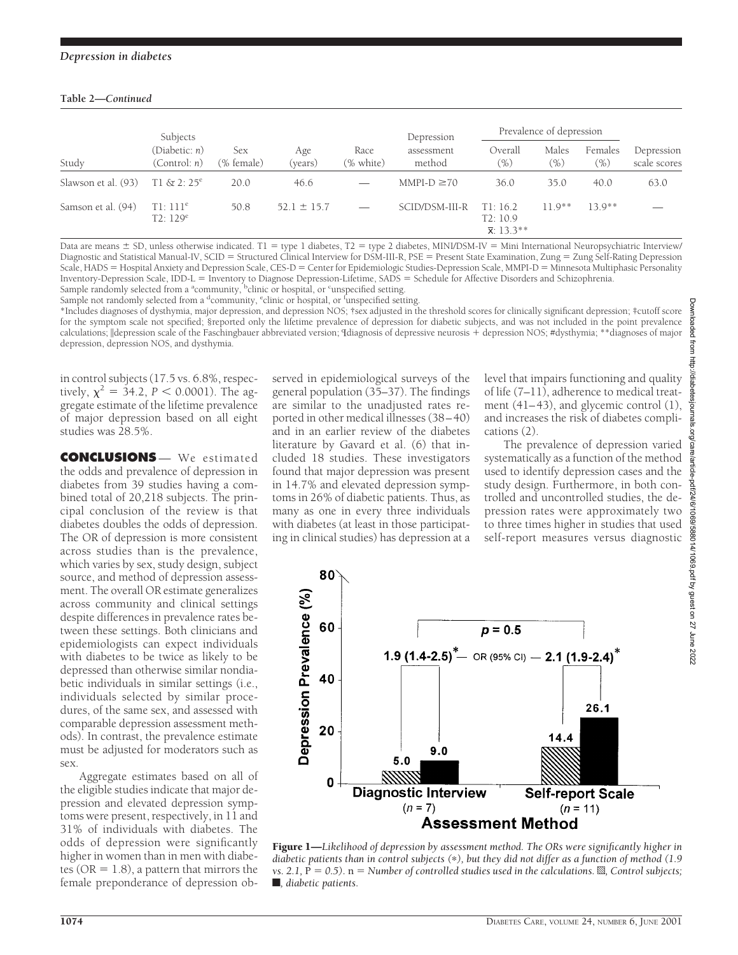## **Table 2—***Continued*

|                     | Subjects                      |                   |                 |                   | Depression           | Prevalence of depression                 |                        |                |                            |
|---------------------|-------------------------------|-------------------|-----------------|-------------------|----------------------|------------------------------------------|------------------------|----------------|----------------------------|
| Study               | (Diabetic: n)<br>(Control: n) | Sex<br>(% female) | Age<br>(years)  | Race<br>(% white) | assessment<br>method | Overall<br>$(\% )$                       | Males<br>$\frac{1}{2}$ | Females<br>(%) | Depression<br>scale scores |
| Slawson et al. (93) | $T1 & 2:25^e$                 | 20.0              | 46.6            |                   | $MMPI-D \geq 70$     | 36.0                                     | 35.0                   | 40.0           | 63.0                       |
| Samson et al. (94)  | $T1:111^e$<br>$T2:129^e$      | 50.8              | $52.1 \pm 15.7$ |                   | SCID/DSM-III-R       | T1:16.2<br>T2:10.9<br>$\bar{x}$ : 13.3** | $11.9**$               | $13.9**$       | _                          |

Data are means  $\pm$  SD, unless otherwise indicated. T1 = type 1 diabetes, T2 = type 2 diabetes, MINI/DSM-IV = Mini International Neuropsychiatric Interview/ Diagnostic and Statistical Manual-IV, SCID = Structured Clinical Interview for DSM-III-R, PSE = Present State Examination, Zung = Zung Self-Rating Depression Scale, HADS = Hospital Anxiety and Depression Scale, CES-D = Center for Epidemiologic Studies-Depression Scale, MMPI-D = Minnesota Multiphasic Personality Inventory-Depression Scale, IDD-L = Inventory to Diagnose Depression-Lifetime, SADS = Schedule for Affective Disorders and Schizophrenia.

Sample randomly selected from a <sup>a</sup>community, <sup>b</sup>clinic or hospital, or <sup>c</sup>unspecified setting. Sample not randomly selected from a <sup>d</sup>community, <sup>e</sup>clinic or hospital, or <sup>f</sup>unspecified setting.

\*Includes diagnoses of dysthymia, major depression, and depression NOS; †sex adjusted in the threshold scores for clinically significant depression; ‡cutoff score for the symptom scale not specified; §reported only the lifetime prevalence of depression for diabetic subjects, and was not included in the point prevalence calculations;  $\alpha$  depression scale of the Faschingbauer abbreviated version; Idiagnosis of depressive neurosis + depression NOS; #dysthymia; \*\*diagnoses of major depression, depression NOS, and dysthymia.

in control subjects (17.5 vs. 6.8%, respectively,  $\chi^2 = 34.2$ ,  $P < 0.0001$ ). The aggregate estimate of the lifetime prevalence of major depression based on all eight studies was 28.5%.

**CONCLUSIONS** — We estimated the odds and prevalence of depression in diabetes from 39 studies having a combined total of 20,218 subjects. The principal conclusion of the review is that diabetes doubles the odds of depression. The OR of depression is more consistent across studies than is the prevalence, which varies by sex, study design, subject source, and method of depression assessment. The overall OR estimate generalizes across community and clinical settings despite differences in prevalence rates between these settings. Both clinicians and epidemiologists can expect individuals with diabetes to be twice as likely to be depressed than otherwise similar nondiabetic individuals in similar settings (i.e., individuals selected by similar procedures, of the same sex, and assessed with comparable depression assessment methods). In contrast, the prevalence estimate must be adjusted for moderators such as sex.

Aggregate estimates based on all of the eligible studies indicate that major depression and elevated depression symptoms were present, respectively, in 11 and 31% of individuals with diabetes. The odds of depression were significantly higher in women than in men with diabetes ( $OR = 1.8$ ), a pattern that mirrors the female preponderance of depression observed in epidemiological surveys of the general population (35–37). The findings are similar to the unadjusted rates reported in other medical illnesses (38–40) and in an earlier review of the diabetes literature by Gavard et al. (6) that included 18 studies. These investigators found that major depression was present in 14.7% and elevated depression symptoms in 26% of diabetic patients. Thus, as many as one in every three individuals with diabetes (at least in those participating in clinical studies) has depression at a

level that impairs functioning and quality of life (7–11), adherence to medical treatment (41–43), and glycemic control (1), and increases the risk of diabetes complications (2).

The prevalence of depression varied systematically as a function of the method used to identify depression cases and the study design. Furthermore, in both controlled and uncontrolled studies, the depression rates were approximately two to three times higher in studies that used self-report measures versus diagnostic



Downloaded from http://diabetesjournals.org/care/article-pdf/24/6/1069/588014/1069.pdf by guest on 27 June 2022ownloaded from http ://alabetesjournals g/care/article-pdf/24/6/1069/588014/1069.pdf by guest on 27 June 2022

Figure 1—*Likelihood of depression by assessment method. The ORs were significantly higher in diabetic patients than in control subjects (*p*), but they did not differ as a function of method (1.9 vs.* 2.1,  $\bar{P} = 0.5$ .  $n =$  *Number of controlled studies used in the calculations. §, Control subjects;*  $\blacksquare$ *, diabetic patients.*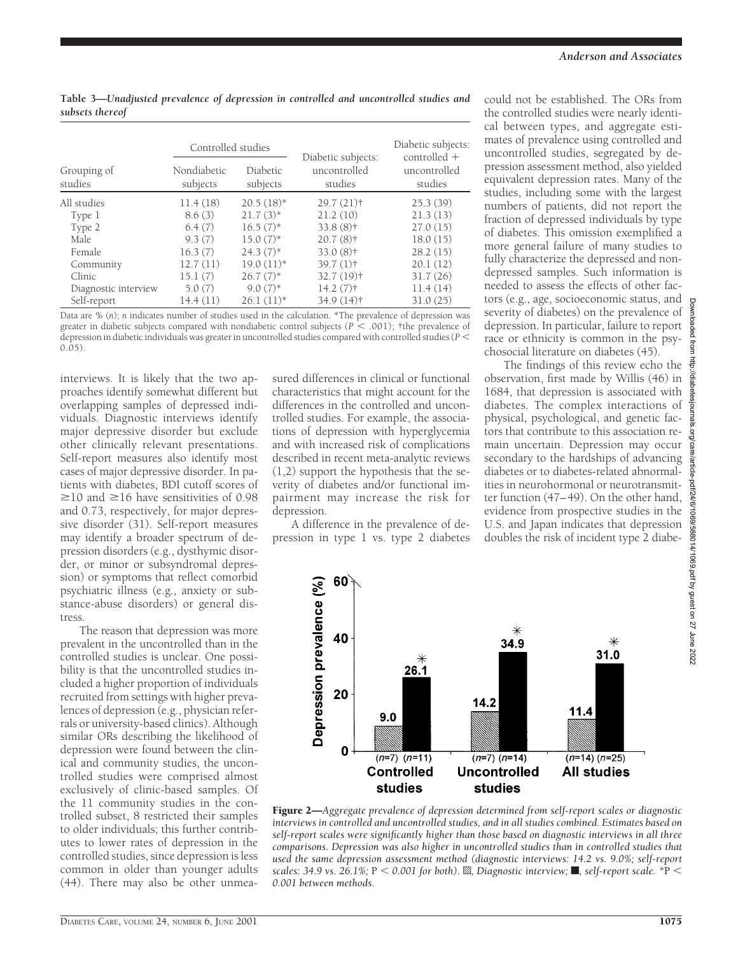|                        | Controlled studies      |                             | Diabetic subjects:      | Diabetic subjects:<br>controlled + |  |  |
|------------------------|-------------------------|-----------------------------|-------------------------|------------------------------------|--|--|
| Grouping of<br>studies | Nondiabetic<br>subjects | <b>Diabetic</b><br>subjects | uncontrolled<br>studies | uncontrolled<br>studies            |  |  |
| All studies            | 11.4(18)                | $20.5(18)$ *                | $29.7(21)$ †            | 25.3(39)                           |  |  |
| Type 1                 | 8.6(3)                  | $21.7(3)$ *                 | 21.2(10)                | 21.3(13)                           |  |  |
| Type 2                 | 6.4(7)                  | $16.5(7)$ *                 | $33.8(8)$ †             | 27.0(15)                           |  |  |
| <b>Male</b>            | 9.3(7)                  | $15.0(7)$ *                 | $20.7(8)$ †             | 18.0(15)                           |  |  |
| Female                 | 16.3(7)                 | $24.3(7)$ *                 | $33.0(8)$ †             | 28.2(15)                           |  |  |
| Community              | 12.7(11)                | $19.0(11)*$                 | $39.7(1)$ <sup>+</sup>  | 20.1(12)                           |  |  |
| Clinic                 | 15.1(7)                 | $26.7(7)$ *                 | $32.7(19)$ <sup>†</sup> | 31.7(26)                           |  |  |
| Diagnostic interview   | 5.0(7)                  | $9.0(7)$ *                  | $14.2(7)$ †             | 11.4(14)                           |  |  |
| Self-report            | 14.4(11)                | $26.1(11)*$                 | $34.9(14)$ †            | 31.0(25)                           |  |  |

**Table 3—***Unadjusted prevalence of depression in controlled and uncontrolled studies and subsets thereof*

Data are % (*n*); *n* indicates number of studies used in the calculation. \*The prevalence of depression was greater in diabetic subjects compared with nondiabetic control subjects ( $P < .001$ ); †the prevalence of depression in diabetic individuals was greater in uncontrolled studies compared with controlled studies (*P* ,  $(0.05)$ 

interviews. It is likely that the two approaches identify somewhat different but overlapping samples of depressed individuals. Diagnostic interviews identify major depressive disorder but exclude other clinically relevant presentations. Self-report measures also identify most cases of major depressive disorder. In patients with diabetes, BDI cutoff scores of  $\geq$ 10 and  $\geq$ 16 have sensitivities of 0.98 and 0.73, respectively, for major depressive disorder (31). Self-report measures may identify a broader spectrum of depression disorders (e.g., dysthymic disorder, or minor or subsyndromal depression) or symptoms that reflect comorbid psychiatric illness (e.g., anxiety or substance-abuse disorders) or general distress.

The reason that depression was more prevalent in the uncontrolled than in the controlled studies is unclear. One possibility is that the uncontrolled studies included a higher proportion of individuals recruited from settings with higher prevalences of depression (e.g., physician referrals or university-based clinics). Although similar ORs describing the likelihood of depression were found between the clinical and community studies, the uncontrolled studies were comprised almost exclusively of clinic-based samples. Of the 11 community studies in the controlled subset, 8 restricted their samples to older individuals; this further contributes to lower rates of depression in the controlled studies, since depression is less common in older than younger adults (44). There may also be other unmeasured differences in clinical or functional characteristics that might account for the differences in the controlled and uncontrolled studies. For example, the associations of depression with hyperglycemia and with increased risk of complications described in recent meta-analytic reviews (1,2) support the hypothesis that the severity of diabetes and/or functional impairment may increase the risk for depression.

A difference in the prevalence of depression in type 1 vs. type 2 diabetes could not be established. The ORs from the controlled studies were nearly identical between types, and aggregate estimates of prevalence using controlled and uncontrolled studies, segregated by depression assessment method, also yielded equivalent depression rates. Many of the studies, including some with the largest numbers of patients, did not report the fraction of depressed individuals by type of diabetes. This omission exemplified a more general failure of many studies to fully characterize the depressed and nondepressed samples. Such information is needed to assess the effects of other factors (e.g., age, socioeconomic status, and severity of diabetes) on the prevalence of depression. In particular, failure to report race or ethnicity is common in the psychosocial literature on diabetes (45).

The findings of this review echo the observation, first made by Willis (46) in 1684, that depression is associated with diabetes. The complex interactions of physical, psychological, and genetic factors that contribute to this association remain uncertain. Depression may occur secondary to the hardships of advancing diabetes or to diabetes-related abnormalities in neurohormonal or neurotransmitter function (47–49). On the other hand, evidence from prospective studies in the U.S. and Japan indicates that depression doubles the risk of incident type 2 diabe-



Figure 2—*Aggregate prevalence of depression determined from self-report scales or diagnostic interviews in controlled and uncontrolled studies, and in all studies combined. Estimates based on self-report scales were significantly higher than those based on diagnostic interviews in all three comparisons. Depression was also higher in uncontrolled studies than in controlled studies that used the same depression assessment method (diagnostic interviews: 14.2 vs. 9.0%; self-report scales: 34.9 vs. 26.1%; P < 0.001 for both). S, Diagnostic interview; , self-report scale.*  $*P$  < *0.001 between methods.*

Downloaded from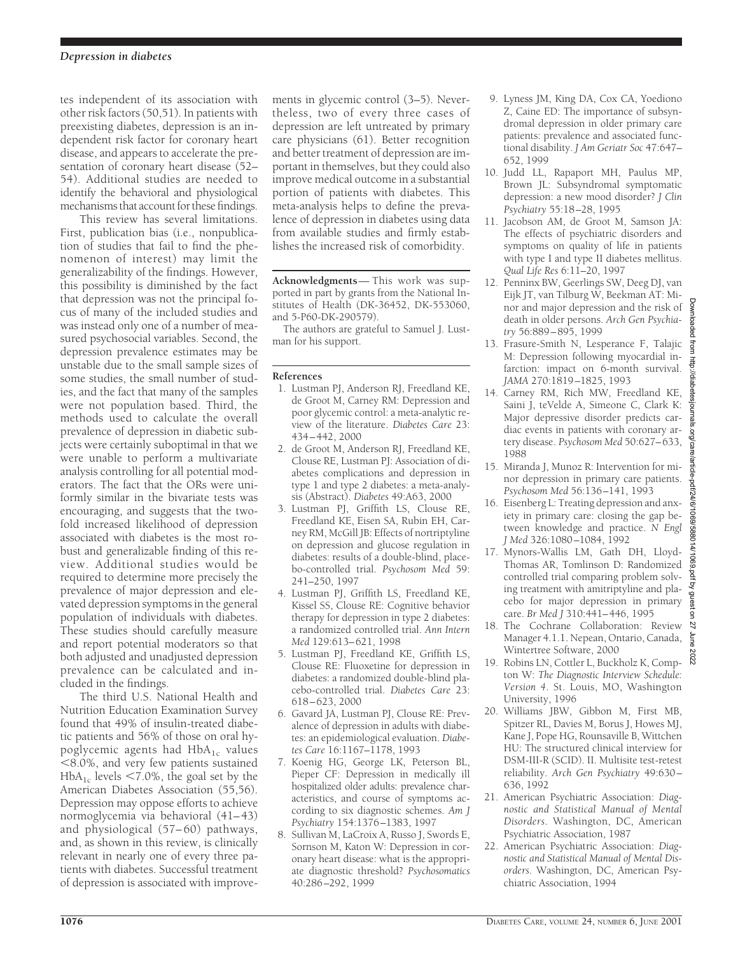tes independent of its association with other risk factors (50,51). In patients with preexisting diabetes, depression is an independent risk factor for coronary heart disease, and appears to accelerate the presentation of coronary heart disease (52– 54). Additional studies are needed to identify the behavioral and physiological mechanisms that account for these findings.

This review has several limitations. First, publication bias (i.e., nonpublication of studies that fail to find the phenomenon of interest) may limit the generalizability of the findings. However, this possibility is diminished by the fact that depression was not the principal focus of many of the included studies and was instead only one of a number of measured psychosocial variables. Second, the depression prevalence estimates may be unstable due to the small sample sizes of some studies, the small number of studies, and the fact that many of the samples were not population based. Third, the methods used to calculate the overall prevalence of depression in diabetic subjects were certainly suboptimal in that we were unable to perform a multivariate analysis controlling for all potential moderators. The fact that the ORs were uniformly similar in the bivariate tests was encouraging, and suggests that the twofold increased likelihood of depression associated with diabetes is the most robust and generalizable finding of this review. Additional studies would be required to determine more precisely the prevalence of major depression and elevated depression symptoms in the general population of individuals with diabetes. These studies should carefully measure and report potential moderators so that both adjusted and unadjusted depression prevalence can be calculated and included in the findings.

The third U.S. National Health and Nutrition Education Examination Survey found that 49% of insulin-treated diabetic patients and 56% of those on oral hypoglycemic agents had  $HbA_{1c}$  values  $<$ 8.0%, and very few patients sustained  $HbA_{1c}$  levels <7.0%, the goal set by the American Diabetes Association (55,56). Depression may oppose efforts to achieve normoglycemia via behavioral (41–43) and physiological (57–60) pathways, and, as shown in this review, is clinically relevant in nearly one of every three patients with diabetes. Successful treatment of depression is associated with improvements in glycemic control (3–5). Nevertheless, two of every three cases of depression are left untreated by primary care physicians (61). Better recognition and better treatment of depression are important in themselves, but they could also improve medical outcome in a substantial portion of patients with diabetes. This meta-analysis helps to define the prevalence of depression in diabetes using data from available studies and firmly establishes the increased risk of comorbidity.

**Acknowledgments**— This work was supported in part by grants from the National Institutes of Health (DK-36452, DK-553060, and 5-P60-DK-290579).

The authors are grateful to Samuel J. Lustman for his support.

#### **References**

- 1. Lustman PJ, Anderson RJ, Freedland KE, de Groot M, Carney RM: Depression and poor glycemic control: a meta-analytic review of the literature. *Diabetes Care* 23: 434–442, 2000
- 2. de Groot M, Anderson RJ, Freedland KE, Clouse RE, Lustman PJ: Association of diabetes complications and depression in type 1 and type 2 diabetes: a meta-analysis (Abstract). *Diabetes* 49:A63, 2000
- 3. Lustman PJ, Griffith LS, Clouse RE, Freedland KE, Eisen SA, Rubin EH, Carney RM, McGill JB: Effects of nortriptyline on depression and glucose regulation in diabetes: results of a double-blind, placebo-controlled trial. *Psychosom Med* 59: 241–250, 1997
- 4. Lustman PJ, Griffith LS, Freedland KE, Kissel SS, Clouse RE: Cognitive behavior therapy for depression in type 2 diabetes: a randomized controlled trial. *Ann Intern Med* 129:613–621, 1998
- 5. Lustman PJ, Freedland KE, Griffith LS, Clouse RE: Fluoxetine for depression in diabetes: a randomized double-blind placebo-controlled trial. *Diabetes Care* 23: 618–623, 2000
- 6. Gavard JA, Lustman PJ, Clouse RE: Prevalence of depression in adults with diabetes: an epidemiological evaluation. *Diabetes Care* 16:1167–1178, 1993
- 7. Koenig HG, George LK, Peterson BL, Pieper CF: Depression in medically ill hospitalized older adults: prevalence characteristics, and course of symptoms according to six diagnostic schemes. *Am J Psychiatry* 154:1376–1383, 1997
- 8. Sullivan M, LaCroix A, Russo J, Swords E, Sornson M, Katon W: Depression in coronary heart disease: what is the appropriate diagnostic threshold? *Psychosomatics* 40:286–292, 1999
- 9. Lyness JM, King DA, Cox CA, Yoediono Z, Caine ED: The importance of subsyndromal depression in older primary care patients: prevalence and associated functional disability. *J Am Geriatr Soc* 47:647– 652, 1999
- 10. Judd LL, Rapaport MH, Paulus MP, Brown JL: Subsyndromal symptomatic depression: a new mood disorder? *J Clin Psychiatry* 55:18–28, 1995
- 11. Jacobson AM, de Groot M, Samson JA: The effects of psychiatric disorders and symptoms on quality of life in patients with type I and type II diabetes mellitus. *Qual Life Res* 6:11–20, 1997
- 12. Penninx BW, Geerlings SW, Deeg DJ, van Eijk JT, van Tilburg W, Beekman AT: Minor and major depression and the risk of death in older persons. *Arch Gen Psychiatry* 56:889–895, 1999
- 13. Frasure-Smith N, Lesperance F, Talajic M: Depression following myocardial infarction: impact on 6-month survival. *JAMA* 270:1819–1825, 1993
- 14. Carney RM, Rich MW, Freedland KE, Saini J, teVelde A, Simeone C, Clark K: Major depressive disorder predicts cardiac events in patients with coronary artery disease. *Psychosom Med* 50:627–633, 1988
- 15. Miranda J, Munoz R: Intervention for minor depression in primary care patients. *Psychosom Med* 56:136–141, 1993
- 16. Eisenberg L: Treating depression and anxiety in primary care: closing the gap between knowledge and practice. *N Engl J Med* 326:1080–1084, 1992
- 17. Mynors-Wallis LM, Gath DH, Lloyd-Thomas AR, Tomlinson D: Randomized controlled trial comparing problem solving treatment with amitriptyline and placebo for major depression in primary care. *Br Med J* 310:441–446, 1995
- 18. The Cochrane Collaboration: Review Manager 4.1.1. Nepean, Ontario, Canada, Wintertree Software, 2000
- 19. Robins LN, Cottler L, Buckholz K, Compton W: *The Diagnostic Interview Schedule: Version 4*. St. Louis, MO, Washington University, 1996
- 20. Williams JBW, Gibbon M, First MB, Spitzer RL, Davies M, Borus J, Howes MJ, Kane J, Pope HG, Rounsaville B, Wittchen HU: The structured clinical interview for DSM-III-R (SCID). II. Multisite test-retest reliability. *Arch Gen Psychiatry* 49:630– 636, 1992
- 21. American Psychiatric Association: *Diagnostic and Statistical Manual of Mental Disorders*. Washington, DC, American Psychiatric Association, 1987
- 22. American Psychiatric Association: *Diagnostic and Statistical Manual of Mental Disorders*. Washington, DC, American Psychiatric Association, 1994

 $27$  June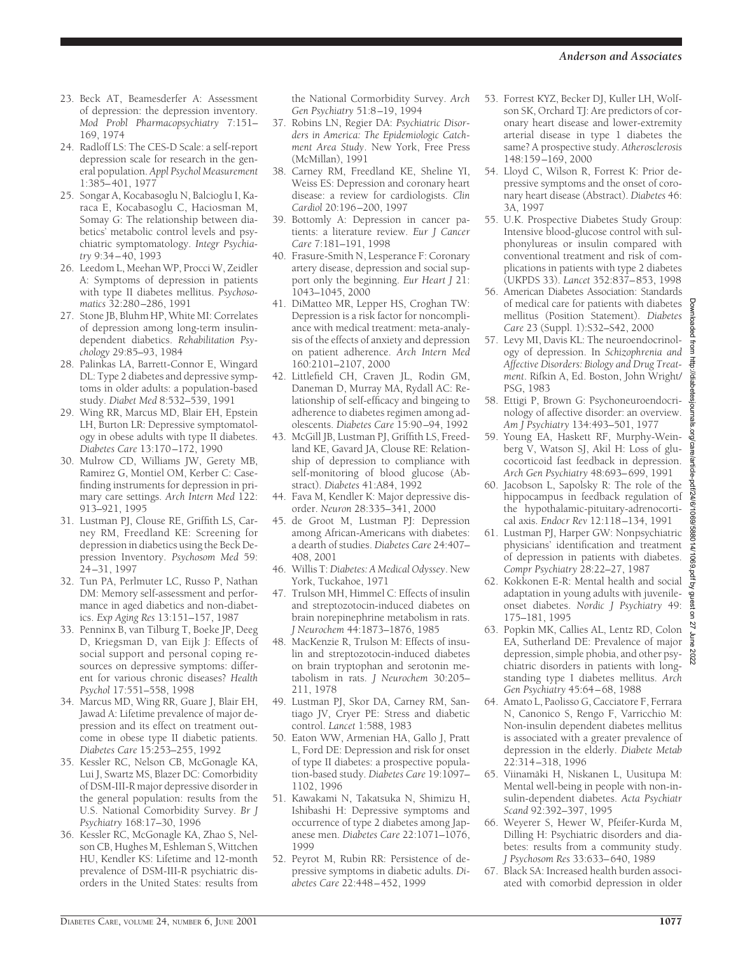- 23. Beck AT, Beamesderfer A: Assessment of depression: the depression inventory. *Mod Probl Pharmacopsychiatry* 7:151– 169, 1974
- 24. Radloff LS: The CES-D Scale: a self-report depression scale for research in the general population. *Appl Psychol Measurement* 1:385–401, 1977
- 25. Songar A, Kocabasoglu N, Balcioglu I, Karaca E, Kocabasoglu C, Haciosman M, Somay G: The relationship between diabetics' metabolic control levels and psychiatric symptomatology. *Integr Psychiatry* 9:34–40, 1993
- 26. Leedom L, Meehan WP, Procci W, Zeidler A: Symptoms of depression in patients with type II diabetes mellitus. *Psychosomatics* 32:280–286, 1991
- 27. Stone JB, Bluhm HP, White MI: Correlates of depression among long-term insulindependent diabetics. *Rehabilitation Psychology* 29:85–93, 1984
- 28. Palinkas LA, Barrett-Connor E, Wingard DL: Type 2 diabetes and depressive symptoms in older adults: a population-based study. *Diabet Med* 8:532–539, 1991
- 29. Wing RR, Marcus MD, Blair EH, Epstein LH, Burton LR: Depressive symptomatology in obese adults with type II diabetes. *Diabetes Care* 13:170–172, 1990
- 30. Mulrow CD, Williams JW, Gerety MB, Ramirez G, Montiel OM, Kerber C: Casefinding instruments for depression in primary care settings. *Arch Intern Med* 122: 913–921, 1995
- 31. Lustman PJ, Clouse RE, Griffith LS, Carney RM, Freedland KE: Screening for depression in diabetics using the Beck Depression Inventory. *Psychosom Med* 59: 24–31, 1997
- 32. Tun PA, Perlmuter LC, Russo P, Nathan DM: Memory self-assessment and performance in aged diabetics and non-diabetics. *Exp Aging Res* 13:151–157, 1987
- 33. Penninx B, van Tilburg T, Boeke JP, Deeg D, Kriegsman D, van Eijk J: Effects of social support and personal coping resources on depressive symptoms: different for various chronic diseases? *Health Psychol* 17:551–558, 1998
- 34. Marcus MD, Wing RR, Guare J, Blair EH, Jawad A: Lifetime prevalence of major depression and its effect on treatment outcome in obese type II diabetic patients. *Diabetes Care* 15:253–255, 1992
- 35. Kessler RC, Nelson CB, McGonagle KA, Lui J, Swartz MS, Blazer DC: Comorbidity of DSM-III-R major depressive disorder in the general population: results from the U.S. National Comorbidity Survey. *Br J Psychiatry* 168:17–30, 1996
- 36. Kessler RC, McGonagle KA, Zhao S, Nelson CB, Hughes M, Eshleman S, Wittchen HU, Kendler KS: Lifetime and 12-month prevalence of DSM-III-R psychiatric disorders in the United States: results from

the National Cormorbidity Survey. *Arch Gen Psychiatry* 51:8–19, 1994

- 37. Robins LN, Regier DA: *Psychiatric Disorders in America: The Epidemiologic Catchment Area Study*. New York, Free Press (McMillan), 1991
- 38. Carney RM, Freedland KE, Sheline YI, Weiss ES: Depression and coronary heart disease: a review for cardiologists. *Clin Cardiol* 20:196–200, 1997
- 39. Bottomly A: Depression in cancer patients: a literature review. *Eur J Cancer Care* 7:181–191, 1998
- 40. Frasure-Smith N, Lesperance F: Coronary artery disease, depression and social support only the beginning. *Eur Heart J* 21: 1043–1045, 2000
- 41. DiMatteo MR, Lepper HS, Croghan TW: Depression is a risk factor for noncompliance with medical treatment: meta-analysis of the effects of anxiety and depression on patient adherence. *Arch Intern Med* 160:2101–2107, 2000
- 42. Littlefield CH, Craven JL, Rodin GM, Daneman D, Murray MA, Rydall AC: Relationship of self-efficacy and bingeing to adherence to diabetes regimen among adolescents. *Diabetes Care* 15:90–94, 1992
- 43. McGill JB, Lustman PJ, Griffith LS, Freedland KE, Gavard JA, Clouse RE: Relationship of depression to compliance with self-monitoring of blood glucose (Abstract). *Diabetes* 41:A84, 1992
- 44. Fava M, Kendler K: Major depressive disorder. *Neuron* 28:335–341, 2000
- 45. de Groot M, Lustman PJ: Depression among African-Americans with diabetes: a dearth of studies. *Diabetes Care* 24:407– 408, 2001
- 46. Willis T:*Diabetes: A Medical Odyssey*. New York, Tuckahoe, 1971
- 47. Trulson MH, Himmel C: Effects of insulin and streptozotocin-induced diabetes on brain norepinephrine metabolism in rats. *J Neurochem* 44:1873–1876, 1985
- 48. MacKenzie R, Trulson M: Effects of insulin and streptozotocin-induced diabetes on brain tryptophan and serotonin metabolism in rats. *J Neurochem* 30:205– 211, 1978
- 49. Lustman PJ, Skor DA, Carney RM, Santiago JV, Cryer PE: Stress and diabetic control. *Lancet* 1:588, 1983
- 50. Eaton WW, Armenian HA, Gallo J, Pratt L, Ford DE: Depression and risk for onset of type II diabetes: a prospective population-based study. *Diabetes Care* 19:1097– 1102, 1996
- 51. Kawakami N, Takatsuka N, Shimizu H, Ishibashi H: Depressive symptoms and occurrence of type 2 diabetes among Japanese men. *Diabetes Care* 22:1071–1076, 1999
- 52. Peyrot M, Rubin RR: Persistence of depressive symptoms in diabetic adults. *Diabetes Care* 22:448–452, 1999
- 53. Forrest KYZ, Becker DJ, Kuller LH, Wolfson SK, Orchard TJ: Are predictors of coronary heart disease and lower-extremity arterial disease in type 1 diabetes the same? A prospective study. *Atherosclerosis* 148:159–169, 2000
- 54. Lloyd C, Wilson R, Forrest K: Prior depressive symptoms and the onset of coronary heart disease (Abstract). *Diabetes* 46: 3A, 1997
- 55. U.K. Prospective Diabetes Study Group: Intensive blood-glucose control with sulphonylureas or insulin compared with conventional treatment and risk of complications in patients with type 2 diabetes (UKPDS 33). *Lancet* 352:837–853, 1998
- 56. American Diabetes Association: Standards of medical care for patients with diabetes mellitus (Position Statement). *Diabetes Care* 23 (Suppl. 1):S32–S42, 2000
- 57. Levy MI, Davis KL: The neuroendocrinology of depression. In *Schizophrenia and Affective Disorders: Biology and Drug Treatment*. Rifkin A, Ed. Boston, John Wright/ PSG, 1983
- 58. Ettigi P, Brown G: Psychoneuroendocrinology of affective disorder: an overview. *Am J Psychiatry* 134:493–501, 1977
- 59. Young EA, Haskett RF, Murphy-Weinberg V, Watson SJ, Akil H: Loss of glucocorticoid fast feedback in depression. *Arch Gen Psychiatry* 48:693–699, 1991
- 60. Jacobson L, Sapolsky R: The role of the hippocampus in feedback regulation of the hypothalamic-pituitary-adrenocortical axis. *Endocr Rev* 12:118–134, 1991
- 61. Lustman PJ, Harper GW: Nonpsychiatric physicians' identification and treatment of depression in patients with diabetes. *Compr Psychiatry* 28:22–27, 1987
- 62. Kokkonen E-R: Mental health and social adaptation in young adults with juvenileonset diabetes. *Nordic J Psychiatry* 49: 175–181, 1995
- 63. Popkin MK, Callies AL, Lentz RD, Colon EA, Sutherland DE: Prevalence of major depression, simple phobia, and other psychiatric disorders in patients with longstanding type I diabetes mellitus. *Arch Gen Psychiatry* 45:64–68, 1988
- 64. Amato L, Paolisso G, Cacciatore F, Ferrara N, Canonico S, Rengo F, Varricchio M: Non-insulin dependent diabetes mellitus is associated with a greater prevalence of depression in the elderly. *Diabete Metab* 22:314–318, 1996
- 65. Viinamäki H, Niskanen L, Uusitupa M: Mental well-being in people with non-insulin-dependent diabetes. *Acta Psychiatr Scand* 92:392–397, 1995
- 66. Weyerer S, Hewer W, Pfeifer-Kurda M, Dilling H: Psychiatric disorders and diabetes: results from a community study. *J Psychosom Res* 33:633–640, 1989
- 67. Black SA: Increased health burden associated with comorbid depression in older